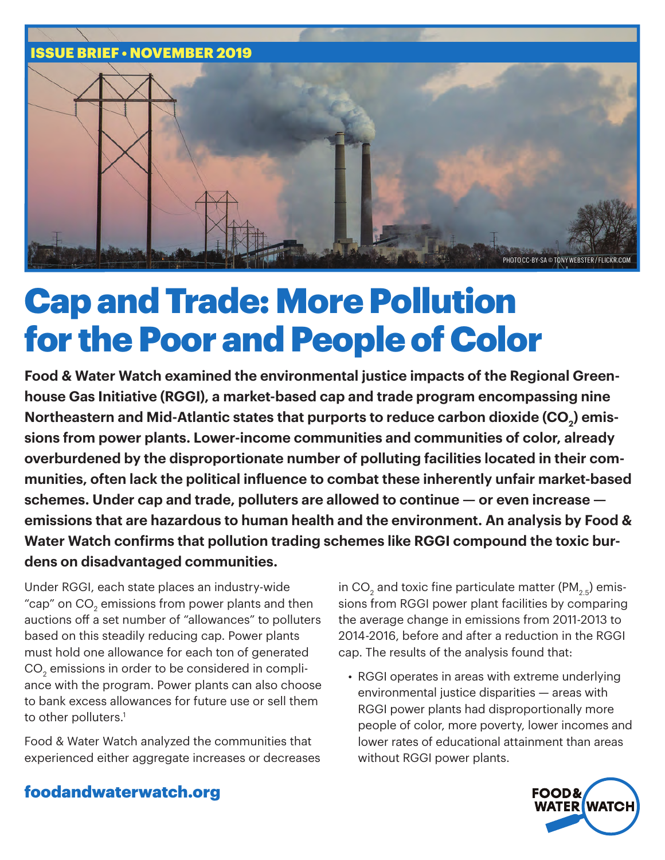

# Cap and Trade: More Pollution for the Poor and People of Color

**Food & Water Watch examined the environmental justice impacts of the Regional Greenhouse Gas Initiative (RGGI), a market-based cap and trade program encompassing nine**  Northeastern and Mid-Atlantic states that purports to reduce carbon dioxide (CO<sub>2</sub>) emis**sions from power plants. Lower-income communities and communities of color, already overburdened by the disproportionate number of polluting facilities located in their communities, often lack the political influence to combat these inherently unfair market-based schemes. Under cap and trade, polluters are allowed to continue — or even increase emissions that are hazardous to human health and the environment. An analysis by Food & Water Watch confirms that pollution trading schemes like RGGI compound the toxic burdens on disadvantaged communities.** 

Under RGGI, each state places an industry-wide "cap" on CO $_{\textrm{\tiny{2}}}$  emissions from power plants and then auctions off a set number of "allowances" to polluters based on this steadily reducing cap. Power plants must hold one allowance for each ton of generated CO $_2^{}$  emissions in order to be considered in compliance with the program. Power plants can also choose to bank excess allowances for future use or sell them to other polluters.<sup>1</sup>

Food & Water Watch analyzed the communities that experienced either aggregate increases or decreases

in CO $_2$  and toxic fine particulate matter (PM $_{\rm 2.5}$ ) emissions from RGGI power plant facilities by comparing the average change in emissions from 2011-2013 to 2014-2016, before and after a reduction in the RGGI cap. The results of the analysis found that:

• RGGI operates in areas with extreme underlying environmental justice disparities — areas with RGGI power plants had disproportionally more people of color, more poverty, lower incomes and lower rates of educational attainment than areas without RGGI power plants.



### foodandwaterwatch.org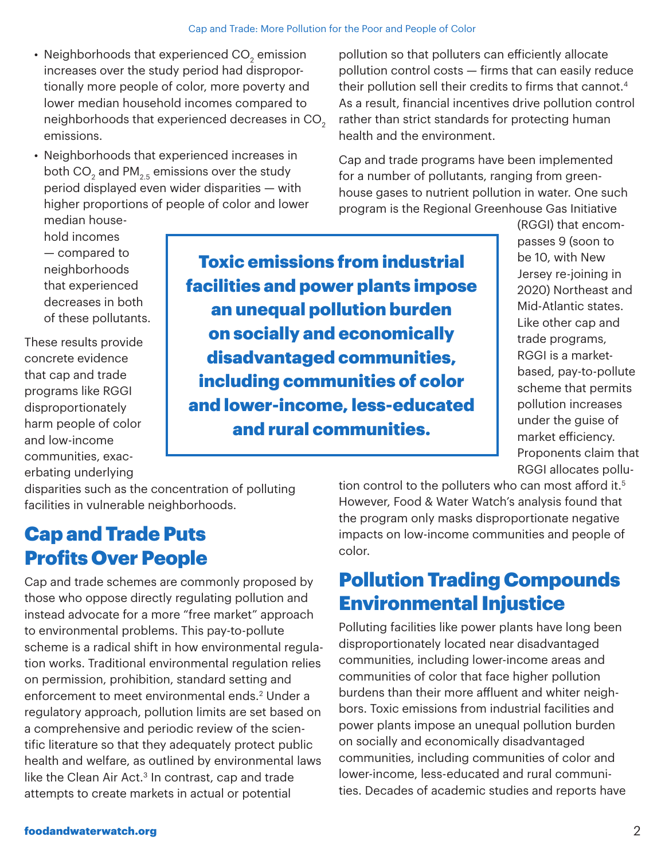- Neighborhoods that experienced CO $_{\textrm{\tiny{2}}}$  emission increases over the study period had disproportionally more people of color, more poverty and lower median household incomes compared to neighborhoods that experienced decreases in CO<sub>2</sub> emissions.
- Neighborhoods that experienced increases in both CO $_2$  and PM $_{\rm 2.5}$  emissions over the study period displayed even wider disparities — with higher proportions of people of color and lower median house-

pollution so that polluters can efficiently allocate pollution control costs — firms that can easily reduce their pollution sell their credits to firms that cannot.<sup>4</sup> As a result, financial incentives drive pollution control rather than strict standards for protecting human health and the environment.

Cap and trade programs have been implemented for a number of pollutants, ranging from greenhouse gases to nutrient pollution in water. One such program is the Regional Greenhouse Gas Initiative

hold incomes — compared to neighborhoods that experienced decreases in both of these pollutants.

These results provide concrete evidence that cap and trade programs like RGGI disproportionately harm people of color and low-income communities, exacerbating underlying

Toxic emissions from industrial facilities and power plants impose an unequal pollution burden on socially and economically disadvantaged communities, including communities of color and lower-income, less-educated and rural communities.

(RGGI) that encompasses 9 (soon to be 10, with New Jersey re-joining in 2020) Northeast and Mid-Atlantic states. Like other cap and trade programs, RGGI is a marketbased, pay-to-pollute scheme that permits pollution increases under the guise of market efficiency. Proponents claim that RGGI allocates pollu-

disparities such as the concentration of polluting facilities in vulnerable neighborhoods.

# Cap and Trade Puts Profits Over People

Cap and trade schemes are commonly proposed by those who oppose directly regulating pollution and instead advocate for a more "free market" approach to environmental problems. This pay-to-pollute scheme is a radical shift in how environmental regulation works. Traditional environmental regulation relies on permission, prohibition, standard setting and enforcement to meet environmental ends.<sup>2</sup> Under a regulatory approach, pollution limits are set based on a comprehensive and periodic review of the scientific literature so that they adequately protect public health and welfare, as outlined by environmental laws like the Clean Air Act. $3$  In contrast, cap and trade attempts to create markets in actual or potential

tion control to the polluters who can most afford it.<sup>5</sup> However, Food & Water Watch's analysis found that the program only masks disproportionate negative impacts on low-income communities and people of color.

## Pollution Trading Compounds Environmental Injustice

Polluting facilities like power plants have long been disproportionately located near disadvantaged communities, including lower-income areas and communities of color that face higher pollution burdens than their more affluent and whiter neighbors. Toxic emissions from industrial facilities and power plants impose an unequal pollution burden on socially and economically disadvantaged communities, including communities of color and lower-income, less-educated and rural communities. Decades of academic studies and reports have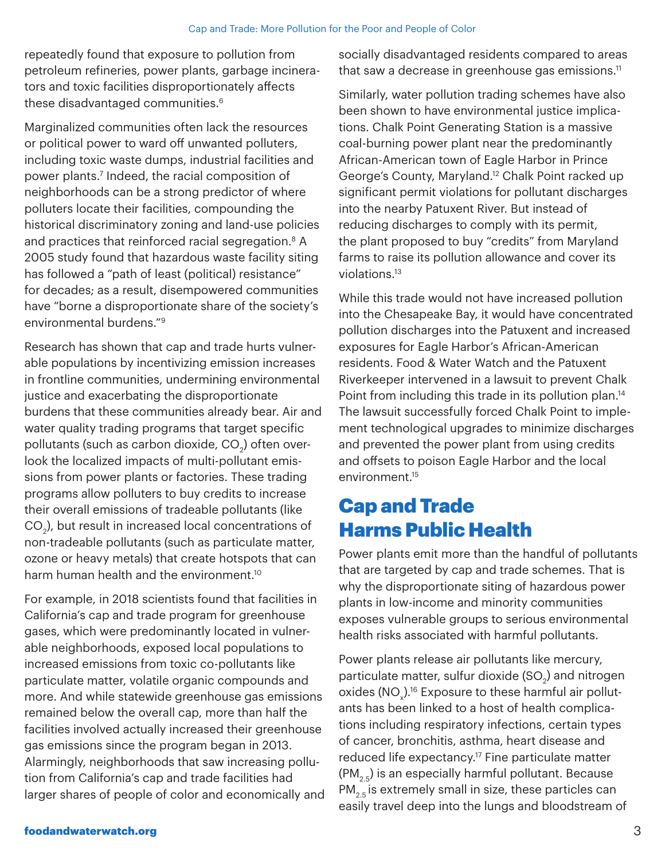repeatedly found that exposure to pollution from petroleum refineries, power plants, garbage incinerators and toxic facilities disproportionately affects these disadvantaged communities.6

Marginalized communities often lack the resources or political power to ward off unwanted polluters, including toxic waste dumps, industrial facilities and power plants.<sup>7</sup> Indeed, the racial composition of neighborhoods can be a strong predictor of where polluters locate their facilities, compounding the historical discriminatory zoning and land-use policies and practices that reinforced racial segregation.<sup>8</sup> A 2005 study found that hazardous waste facility siting has followed a "path of least (political) resistance" for decades; as a result, disempowered communities have "borne a disproportionate share of the society's environmental burdens."9

Research has shown that cap and trade hurts vulnerable populations by incentivizing emission increases in frontline communities, undermining environmental justice and exacerbating the disproportionate burdens that these communities already bear. Air and water quality trading programs that target specific pollutants (such as carbon dioxide, CO $_{\textrm{\tiny{2}}}$ ) often overlook the localized impacts of multi-pollutant emissions from power plants or factories. These trading programs allow polluters to buy credits to increase their overall emissions of tradeable pollutants (like CO $_{\textrm{\tiny{\it 2}}}$ ), but result in increased local concentrations of non-tradeable pollutants (such as particulate matter, ozone or heavy metals) that create hotspots that can harm human health and the environment.<sup>10</sup>

For example, in 2018 scientists found that facilities in California's cap and trade program for greenhouse gases, which were predominantly located in vulnerable neighborhoods, exposed local populations to increased emissions from toxic co-pollutants like particulate matter, volatile organic compounds and more. And while statewide greenhouse gas emissions remained below the overall cap, more than half the facilities involved actually increased their greenhouse gas emissions since the program began in 2013. Alarmingly, neighborhoods that saw increasing pollution from California's cap and trade facilities had larger shares of people of color and economically and socially disadvantaged residents compared to areas that saw a decrease in greenhouse gas emissions. $11$ 

Similarly, water pollution trading schemes have also been shown to have environmental justice implications. Chalk Point Generating Station is a massive coal-burning power plant near the predominantly African-American town of Eagle Harbor in Prince George's County, Maryland.12 Chalk Point racked up significant permit violations for pollutant discharges into the nearby Patuxent River. But instead of reducing discharges to comply with its permit, the plant proposed to buy "credits" from Maryland farms to raise its pollution allowance and cover its violations.13

While this trade would not have increased pollution into the Chesapeake Bay, it would have concentrated pollution discharges into the Patuxent and increased exposures for Eagle Harbor's African-American residents. Food & Water Watch and the Patuxent Riverkeeper intervened in a lawsuit to prevent Chalk Point from including this trade in its pollution plan.<sup>14</sup> The lawsuit successfully forced Chalk Point to implement technological upgrades to minimize discharges and prevented the power plant from using credits and offsets to poison Eagle Harbor and the local environment.15

### Cap and Trade Harms Public Health

Power plants emit more than the handful of pollutants that are targeted by cap and trade schemes. That is why the disproportionate siting of hazardous power plants in low-income and minority communities exposes vulnerable groups to serious environmental health risks associated with harmful pollutants.

Power plants release air pollutants like mercury, particulate matter, sulfur dioxide (SO $_{\textrm{\tiny{2}}}$ ) and nitrogen oxides (NO $_{\!\scriptscriptstyle \chi}$ ).16 Exposure to these harmful air pollutants has been linked to a host of health complications including respiratory infections, certain types of cancer, bronchitis, asthma, heart disease and reduced life expectancy.<sup>17</sup> Fine particulate matter  $(PM<sub>2.5</sub>)$  is an especially harmful pollutant. Because  $PM_{2.5}$  is extremely small in size, these particles can easily travel deep into the lungs and bloodstream of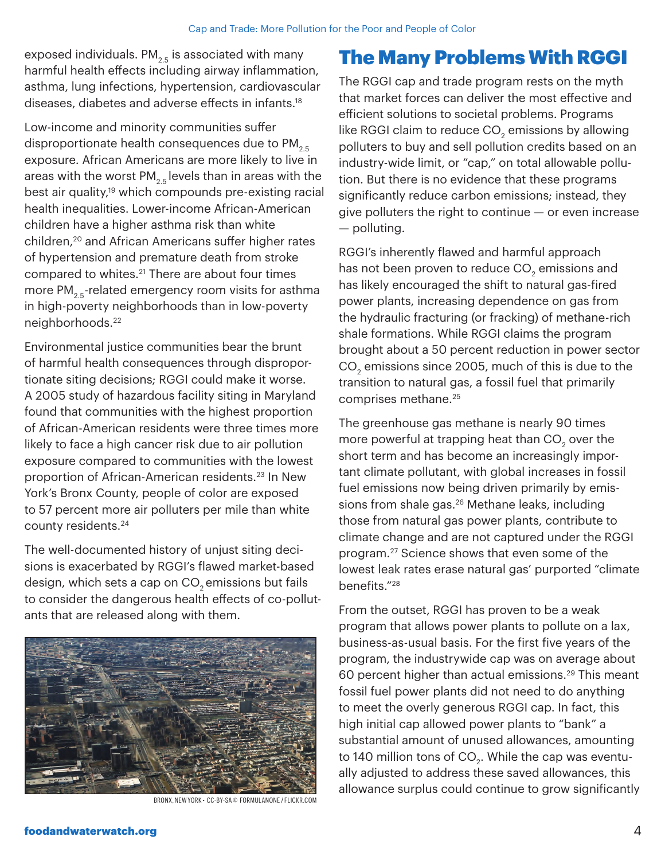exposed individuals.  $PM_{2.5}$  is associated with many harmful health effects including airway inflammation, asthma, lung infections, hypertension, cardiovascular diseases, diabetes and adverse effects in infants.<sup>18</sup>

Low-income and minority communities suffer disproportionate health consequences due to  $PM_{2.5}$ exposure. African Americans are more likely to live in areas with the worst PM<sub>2.5</sub> levels than in areas with the best air quality,<sup>19</sup> which compounds pre-existing racial health inequalities. Lower-income African-American children have a higher asthma risk than white children,20 and African Americans suffer higher rates of hypertension and premature death from stroke compared to whites.<sup>21</sup> There are about four times more PM<sub>2.5</sub>-related emergency room visits for asthma in high-poverty neighborhoods than in low-poverty neighborhoods.22

Environmental justice communities bear the brunt of harmful health consequences through disproportionate siting decisions; RGGI could make it worse. A 2005 study of hazardous facility siting in Maryland found that communities with the highest proportion of African-American residents were three times more likely to face a high cancer risk due to air pollution exposure compared to communities with the lowest proportion of African-American residents.23 In New York's Bronx County, people of color are exposed to 57 percent more air polluters per mile than white county residents.24

The well-documented history of unjust siting decisions is exacerbated by RGGI's flawed market-based design, which sets a cap on CO<sub>2</sub> emissions but fails to consider the dangerous health effects of co-pollutants that are released along with them.



BRONX, NEW YORK • CC-BY-SA © FORMULANONE / FLICKR.COM

## The Many Problems With RGGI

The RGGI cap and trade program rests on the myth that market forces can deliver the most effective and efficient solutions to societal problems. Programs like RGGI claim to reduce CO $_{\textrm{\tiny{2}}}$  emissions by allowing polluters to buy and sell pollution credits based on an industry-wide limit, or "cap," on total allowable pollution. But there is no evidence that these programs significantly reduce carbon emissions; instead, they give polluters the right to continue — or even increase — polluting.

RGGI's inherently flawed and harmful approach has not been proven to reduce CO $_{\textrm{\tiny{2}}}$  emissions and has likely encouraged the shift to natural gas-fired power plants, increasing dependence on gas from the hydraulic fracturing (or fracking) of methane-rich shale formations. While RGGI claims the program brought about a 50 percent reduction in power sector CO $_{\rm 2}$  emissions since 2005, much of this is due to the transition to natural gas, a fossil fuel that primarily comprises methane.25

The greenhouse gas methane is nearly 90 times more powerful at trapping heat than CO $_{\textrm{\tiny{2}}}$  over the short term and has become an increasingly important climate pollutant, with global increases in fossil fuel emissions now being driven primarily by emissions from shale gas.<sup>26</sup> Methane leaks, including those from natural gas power plants, contribute to climate change and are not captured under the RGGI program.27 Science shows that even some of the lowest leak rates erase natural gas' purported "climate benefits."28

From the outset, RGGI has proven to be a weak program that allows power plants to pollute on a lax, business-as-usual basis. For the first five years of the program, the industrywide cap was on average about 60 percent higher than actual emissions.29 This meant fossil fuel power plants did not need to do anything to meet the overly generous RGGI cap. In fact, this high initial cap allowed power plants to "bank" a substantial amount of unused allowances, amounting to 140 million tons of  $CO<sub>2</sub>$ . While the cap was eventually adjusted to address these saved allowances, this allowance surplus could continue to grow significantly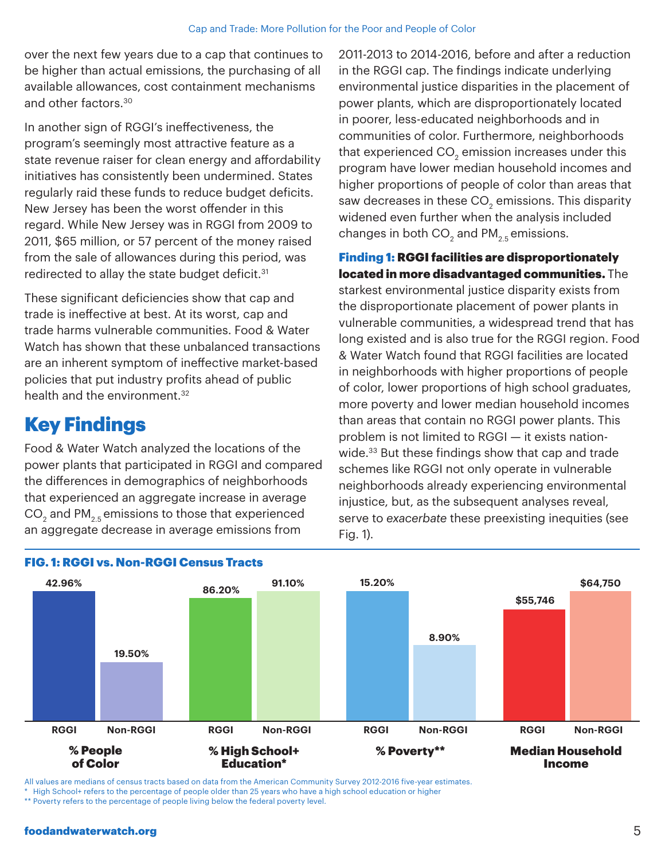over the next few years due to a cap that continues to be higher than actual emissions, the purchasing of all available allowances, cost containment mechanisms and other factors.30

In another sign of RGGI's ineffectiveness, the program's seemingly most attractive feature as a state revenue raiser for clean energy and affordability initiatives has consistently been undermined. States regularly raid these funds to reduce budget deficits. New Jersey has been the worst offender in this regard. While New Jersey was in RGGI from 2009 to 2011, \$65 million, or 57 percent of the money raised from the sale of allowances during this period, was redirected to allay the state budget deficit.<sup>31</sup>

These significant deficiencies show that cap and trade is ineffective at best. At its worst, cap and trade harms vulnerable communities. Food & Water Watch has shown that these unbalanced transactions are an inherent symptom of ineffective market-based policies that put industry profits ahead of public health and the environment.<sup>32</sup>

### Key Findings

Food & Water Watch analyzed the locations of the power plants that participated in RGGI and compared the differences in demographics of neighborhoods that experienced an aggregate increase in average CO $_2$  and PM $_{\rm 2.5}$  emissions to those that experienced an aggregate decrease in average emissions from

2011-2013 to 2014-2016, before and after a reduction in the RGGI cap. The findings indicate underlying environmental justice disparities in the placement of power plants, which are disproportionately located in poorer, less-educated neighborhoods and in communities of color. Furthermore, neighborhoods that experienced CO $_{\textrm{\tiny{2}}}$  emission increases under this program have lower median household incomes and higher proportions of people of color than areas that saw decreases in these CO $_{\textrm{\tiny{2}}}$  emissions. This disparity widened even further when the analysis included changes in both CO $_{\rm 2}$  and PM $_{\rm 2.5}$  emissions.

Finding 1: RGGI facilities are disproportionately located in more disadvantaged communities. The starkest environmental justice disparity exists from the disproportionate placement of power plants in vulnerable communities, a widespread trend that has long existed and is also true for the RGGI region. Food & Water Watch found that RGGI facilities are located in neighborhoods with higher proportions of people of color, lower proportions of high school graduates, more poverty and lower median household incomes than areas that contain no RGGI power plants. This problem is not limited to RGGI — it exists nationwide.<sup>33</sup> But these findings show that cap and trade schemes like RGGI not only operate in vulnerable neighborhoods already experiencing environmental injustice, but, as the subsequent analyses reveal, serve to *exacerbate* these preexisting inequities (see Fig. 1).



FIG. 1: RGGI vs. Non-RGGI Census Tracts

All values are medians of census tracts based on data from the American Community Survey 2012-2016 five-year estimates.

\* High School+ refers to the percentage of people older than 25 years who have a high school education or higher

\*\* Poverty refers to the percentage of people living below the federal poverty level.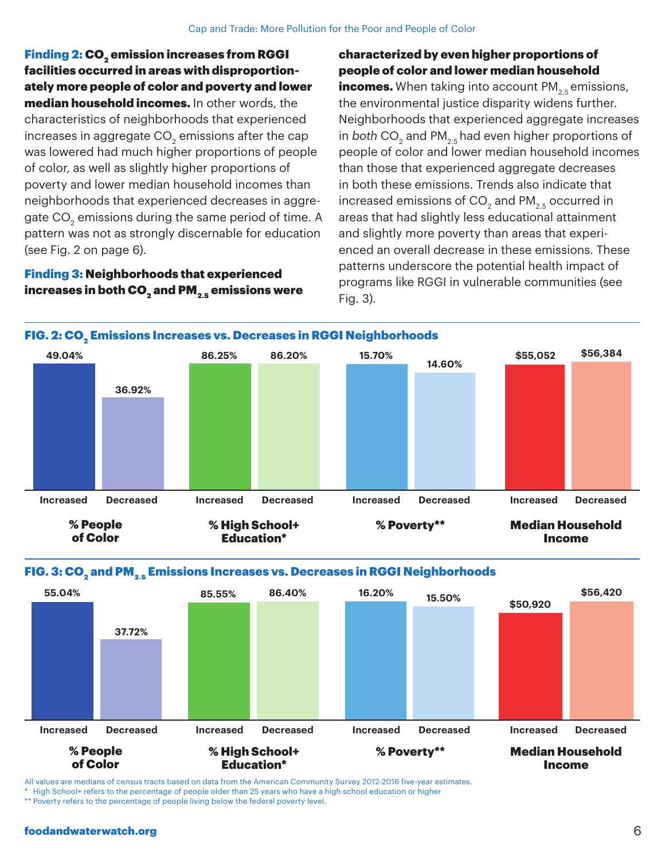Finding 2: CO<sub>2</sub> emission increases from RGGI facilities occurred in areas with disproportionately more people of color and poverty and lower median household incomes. In other words, the characteristics of neighborhoods that experienced increases in aggregate CO $_{\textrm{\tiny{2}}}$  emissions after the cap was lowered had much higher proportions of people of color, as well as slightly higher proportions of poverty and lower median household incomes than neighborhoods that experienced decreases in aggregate CO $_2^{}$  emissions during the same period of time. A pattern was not as strongly discernable for education (see Fig. 2 on page 6).

#### Finding 3: Neighborhoods that experienced increases in both CO<sub>2</sub> and PM<sub>2</sub> $<sub>5</sub>$  emissions were</sub>

#### characterized by even higher proportions of people of color and lower median household

**incomes.** When taking into account  $PM_{2.5}$  emissions, the environmental justice disparity widens further. Neighborhoods that experienced aggregate increases in *both* CO $_2$  and PM $_{2.5}$ had even higher proportions of people of color and lower median household incomes than those that experienced aggregate decreases in both these emissions. Trends also indicate that increased emissions of CO $_2$  and PM $_{\rm 2.5}$  occurred in areas that had slightly less educational attainment and slightly more poverty than areas that experienced an overall decrease in these emissions. These patterns underscore the potential health impact of programs like RGGI in vulnerable communities (see Fig. 3).







All values are medians of census tracts based on data from the American Community Survey 2012-2016 five-year estimates.

\* High School+ refers to the percentage of people older than 25 years who have a high school education or higher

\*\* Poverty refers to the percentage of people living below the federal poverty level.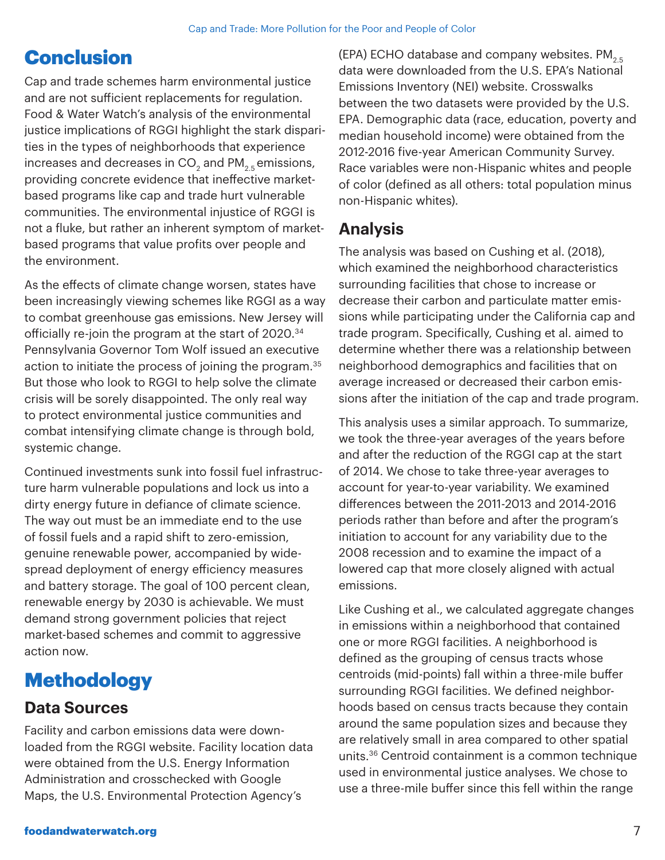# **Conclusion**

Cap and trade schemes harm environmental justice and are not sufficient replacements for regulation. Food & Water Watch's analysis of the environmental justice implications of RGGI highlight the stark disparities in the types of neighborhoods that experience increases and decreases in CO $_2$  and PM $_{\rm 2.5}$ emissions, providing concrete evidence that ineffective marketbased programs like cap and trade hurt vulnerable communities. The environmental injustice of RGGI is not a fluke, but rather an inherent symptom of marketbased programs that value profits over people and the environment.

As the effects of climate change worsen, states have been increasingly viewing schemes like RGGI as a way to combat greenhouse gas emissions. New Jersey will officially re-join the program at the start of 2020.<sup>34</sup> Pennsylvania Governor Tom Wolf issued an executive action to initiate the process of joining the program.<sup>35</sup> But those who look to RGGI to help solve the climate crisis will be sorely disappointed. The only real way to protect environmental justice communities and combat intensifying climate change is through bold, systemic change.

Continued investments sunk into fossil fuel infrastructure harm vulnerable populations and lock us into a dirty energy future in defiance of climate science. The way out must be an immediate end to the use of fossil fuels and a rapid shift to zero-emission, genuine renewable power, accompanied by widespread deployment of energy efficiency measures and battery storage. The goal of 100 percent clean, renewable energy by 2030 is achievable. We must demand strong government policies that reject market-based schemes and commit to aggressive action now.

# Methodology

### **Data Sources**

Facility and carbon emissions data were downloaded from the RGGI website. Facility location data were obtained from the U.S. Energy Information Administration and crosschecked with Google Maps, the U.S. Environmental Protection Agency's

(EPA) ECHO database and company websites.  $PM_{2.5}$ data were downloaded from the U.S. EPA's National Emissions Inventory (NEI) website. Crosswalks between the two datasets were provided by the U.S. EPA. Demographic data (race, education, poverty and median household income) were obtained from the 2012-2016 five-year American Community Survey. Race variables were non-Hispanic whites and people of color (defined as all others: total population minus non-Hispanic whites).

### **Analysis**

The analysis was based on Cushing et al. (2018), which examined the neighborhood characteristics surrounding facilities that chose to increase or decrease their carbon and particulate matter emissions while participating under the California cap and trade program. Specifically, Cushing et al. aimed to determine whether there was a relationship between neighborhood demographics and facilities that on average increased or decreased their carbon emissions after the initiation of the cap and trade program.

This analysis uses a similar approach. To summarize, we took the three-year averages of the years before and after the reduction of the RGGI cap at the start of 2014. We chose to take three-year averages to account for year-to-year variability. We examined differences between the 2011-2013 and 2014-2016 periods rather than before and after the program's initiation to account for any variability due to the 2008 recession and to examine the impact of a lowered cap that more closely aligned with actual emissions.

Like Cushing et al., we calculated aggregate changes in emissions within a neighborhood that contained one or more RGGI facilities. A neighborhood is defined as the grouping of census tracts whose centroids (mid-points) fall within a three-mile buffer surrounding RGGI facilities. We defined neighborhoods based on census tracts because they contain around the same population sizes and because they are relatively small in area compared to other spatial units.36 Centroid containment is a common technique used in environmental justice analyses. We chose to use a three-mile buffer since this fell within the range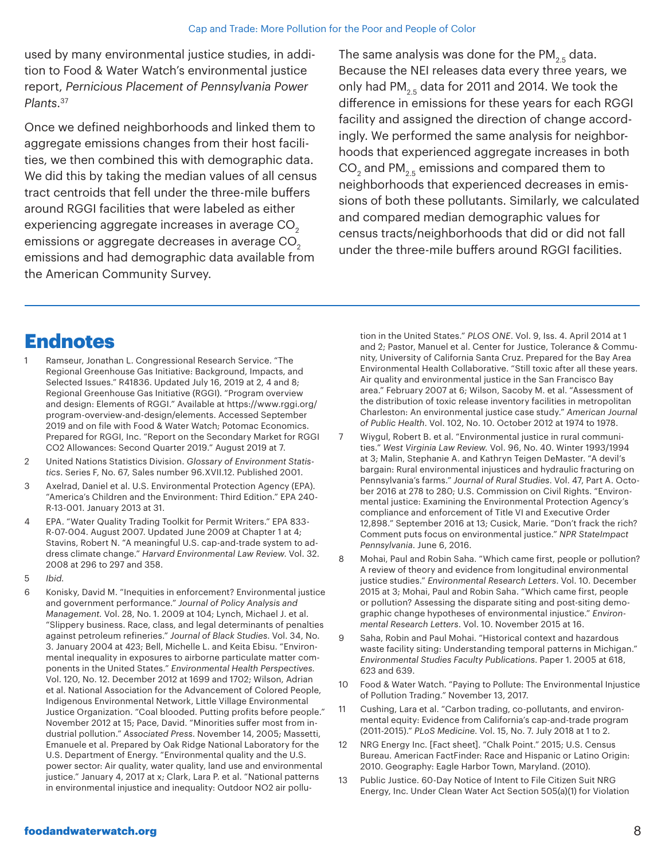used by many environmental justice studies, in addition to Food & Water Watch's environmental justice report, *Pernicious Placement of Pennsylvania Power Plants*. 37

Once we defined neighborhoods and linked them to aggregate emissions changes from their host facilities, we then combined this with demographic data. We did this by taking the median values of all census tract centroids that fell under the three-mile buffers around RGGI facilities that were labeled as either experiencing aggregate increases in average CO<sub>2</sub> emissions or aggregate decreases in average CO<sub>2</sub> emissions and had demographic data available from the American Community Survey.

The same analysis was done for the PM<sub>2.5</sub> data. Because the NEI releases data every three years, we only had  $PM_{2.5}$  data for 2011 and 2014. We took the difference in emissions for these years for each RGGI facility and assigned the direction of change accordingly. We performed the same analysis for neighborhoods that experienced aggregate increases in both CO $_2$  and PM $_{\rm 2.5}$  emissions and compared them to neighborhoods that experienced decreases in emissions of both these pollutants. Similarly, we calculated and compared median demographic values for census tracts/neighborhoods that did or did not fall under the three-mile buffers around RGGI facilities.

### **Endnotes**

- Ramseur, Jonathan L. Congressional Research Service. "The Regional Greenhouse Gas Initiative: Background, Impacts, and Selected Issues." R41836. Updated July 16, 2019 at 2, 4 and 8; Regional Greenhouse Gas Initiative (RGGI). "Program overview and design: Elements of RGGI." Available at https://www.rggi.org/ program-overview-and-design/elements. Accessed September 2019 and on file with Food & Water Watch; Potomac Economics. Prepared for RGGI, Inc. "Report on the Secondary Market for RGGI CO2 Allowances: Second Quarter 2019." August 2019 at 7.
- 2 United Nations Statistics Division. *Glossary of Environment Statistics*. Series F, No. 67, Sales number 96.XVII.12. Published 2001.
- 3 Axelrad, Daniel et al. U.S. Environmental Protection Agency (EPA). "America's Children and the Environment: Third Edition." EPA 240- R-13-001. January 2013 at 31.
- 4 EPA. "Water Quality Trading Toolkit for Permit Writers." EPA 833- R-07-004. August 2007. Updated June 2009 at Chapter 1 at 4; Stavins, Robert N. "A meaningful U.S. cap-and-trade system to address climate change." *Harvard Environmental Law Review*. Vol. 32. 2008 at 296 to 297 and 358.
- 5 *Ibid.*
- 6 Konisky, David M. "Inequities in enforcement? Environmental justice and government performance." *Journal of Policy Analysis and Management.* Vol. 28, No. 1. 2009 at 104; Lynch, Michael J. et al. "Slippery business. Race, class, and legal determinants of penalties against petroleum refineries." *Journal of Black Studies*. Vol. 34, No. 3. January 2004 at 423; Bell, Michelle L. and Keita Ebisu. "Environmental inequality in exposures to airborne particulate matter components in the United States." *Environmental Health Perspectives.*  Vol. 120, No. 12. December 2012 at 1699 and 1702; Wilson, Adrian et al. National Association for the Advancement of Colored People, Indigenous Environmental Network, Little Village Environmental Justice Organization. "Coal blooded. Putting profits before people." November 2012 at 15; Pace, David. "Minorities suffer most from industrial pollution." *Associated Press*. November 14, 2005; Massetti, Emanuele et al. Prepared by Oak Ridge National Laboratory for the U.S. Department of Energy. "Environmental quality and the U.S. power sector: Air quality, water quality, land use and environmental justice." January 4, 2017 at x; Clark, Lara P. et al. "National patterns in environmental injustice and inequality: Outdoor NO2 air pollu-

tion in the United States." *PLOS ONE*. Vol. 9, Iss. 4. April 2014 at 1 and 2; Pastor, Manuel et al. Center for Justice, Tolerance & Community, University of California Santa Cruz. Prepared for the Bay Area Environmental Health Collaborative. "Still toxic after all these years. Air quality and environmental justice in the San Francisco Bay area." February 2007 at 6; Wilson, Sacoby M. et al. "Assessment of the distribution of toxic release inventory facilities in metropolitan Charleston: An environmental justice case study." *American Journal of Public Health*. Vol. 102, No. 10. October 2012 at 1974 to 1978.

- 7 Wiygul, Robert B. et al. "Environmental justice in rural communities." *West Virginia Law Review.* Vol. 96, No. 40. Winter 1993/1994 at 3; Malin, Stephanie A. and Kathryn Teigen DeMaster. "A devil's bargain: Rural environmental injustices and hydraulic fracturing on Pennsylvania's farms." *Journal of Rural Studies*. Vol. 47, Part A. October 2016 at 278 to 280; U.S. Commission on Civil Rights. "Environmental justice: Examining the Environmental Protection Agency's compliance and enforcement of Title VI and Executive Order 12,898." September 2016 at 13; Cusick, Marie. "Don't frack the rich? Comment puts focus on environmental justice." *NPR StateImpact Pennsylvania*. June 6, 2016.
- 8 Mohai, Paul and Robin Saha. "Which came first, people or pollution? A review of theory and evidence from longitudinal environmental justice studies." *Environmental Research Letters*. Vol. 10. December 2015 at 3; Mohai, Paul and Robin Saha. "Which came first, people or pollution? Assessing the disparate siting and post-siting demographic change hypotheses of environmental injustice." *Environmental Research Letters*. Vol. 10. November 2015 at 16.
- 9 Saha, Robin and Paul Mohai. "Historical context and hazardous waste facility siting: Understanding temporal patterns in Michigan." *Environmental Studies Faculty Publications*. Paper 1. 2005 at 618, 623 and 639.
- 10 Food & Water Watch. "Paying to Pollute: The Environmental Injustice of Pollution Trading." November 13, 2017.
- 11 Cushing, Lara et al. "Carbon trading, co-pollutants, and environmental equity: Evidence from California's cap-and-trade program (2011-2015)." *PLoS Medicine*. Vol. 15, No. 7. July 2018 at 1 to 2.
- 12 NRG Energy Inc. [Fact sheet]. "Chalk Point." 2015; U.S. Census Bureau. American FactFinder: Race and Hispanic or Latino Origin: 2010. Geography: Eagle Harbor Town, Maryland. (2010).
- 13 Public Justice. 60-Day Notice of Intent to File Citizen Suit NRG Energy, Inc. Under Clean Water Act Section 505(a)(1) for Violation